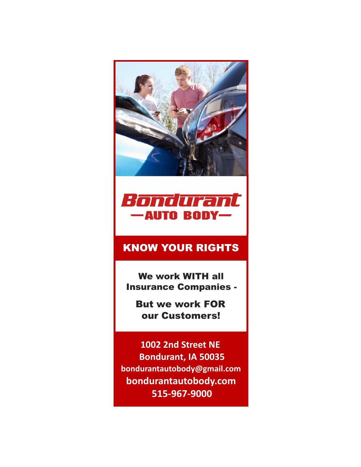



# KNOW YOUR RIGHTS

We work WITH all Insurance Companies -

But we work FOR our Customers!

**1002 2nd Street NE Bondurant, IA 50035 bondurantautobody@gmail.com bondurantautobody.com 515-967-9000**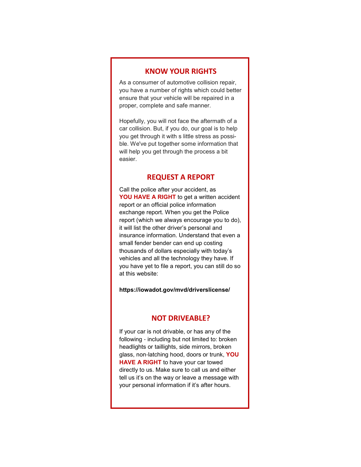### **KNOW YOUR RIGHTS**

As a consumer of automotive collision repair, you have a number of rights which could better ensure that your vehicle will be repaired in a proper, complete and safe manner.

Hopefully, you will not face the aftermath of a car collision. But, if you do, our goal is to help you get through it with s little stress as possible. We've put together some information that will help you get through the process a bit easier.

#### **REQUEST A REPORT**

Call the police after your accident, as **YOU HAVE A RIGHT** to get a written accident report or an official police information exchange report. When you get the Police report (which we always encourage you to do), it will list the other driver's personal and insurance information. Understand that even a small fender bender can end up costing thousands of dollars especially with today's vehicles and all the technology they have. If you have yet to file a report, you can still do so at this website:

#### **https://iowadot.gov/mvd/driverslicense/**

#### **NOT DRIVEABLE?**

If your car is not drivable, or has any of the following - including but not limited to: broken headlights or taillights, side mirrors, broken glass, non-latching hood, doors or trunk, **YOU HAVE A RIGHT** to have your car towed directly to us. Make sure to call us and either tell us it's on the way or leave a message with your personal information if it's after hours.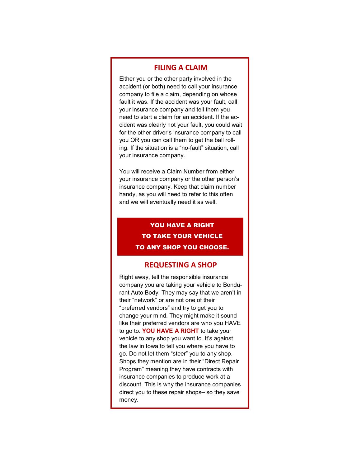### **FILING A CLAIM**

Either you or the other party involved in the accident (or both) need to call your insurance company to file a claim, depending on whose fault it was. If the accident was your fault, call your insurance company and tell them you need to start a claim for an accident. If the accident was clearly not your fault, you could wait for the other driver's insurance company to call you OR you can call them to get the ball rolling. If the situation is a "no-fault" situation, call your insurance company.

You will receive a Claim Number from either your insurance company or the other person's insurance company. Keep that claim number handy, as you will need to refer to this often and we will eventually need it as well.

## YOU HAVE A RIGHT TO TAKE YOUR VEHICLE TO ANY SHOP YOU CHOOSE.

#### **REQUESTING A SHOP**

Right away, tell the responsible insurance company you are taking your vehicle to Bondurant Auto Body. They may say that we aren't in their "network" or are not one of their "preferred vendors" and try to get you to change your mind. They might make it sound like their preferred vendors are who you HAVE to go to. **YOU HAVE A RIGHT** to take your vehicle to any shop you want to. It's against the law in Iowa to tell you where you have to go. Do not let them "steer" you to any shop. Shops they mention are in their "Direct Repair Program" meaning they have contracts with insurance companies to produce work at a discount. This is why the insurance companies direct you to these repair shops– so they save money.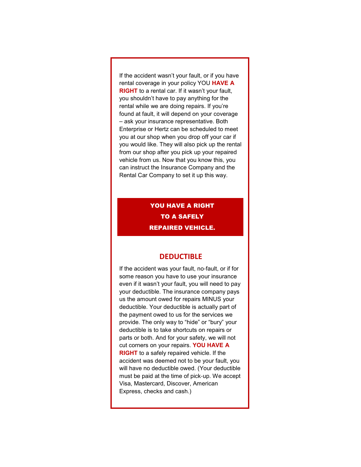If the accident wasn't your fault, or if you have rental coverage in your policy YOU **HAVE A RIGHT** to a rental car. If it wasn't your fault, you shouldn't have to pay anything for the rental while we are doing repairs. If you're found at fault, it will depend on your coverage – ask your insurance representative. Both Enterprise or Hertz can be scheduled to meet you at our shop when you drop off your car if you would like. They will also pick up the rental from our shop after you pick up your repaired vehicle from us. Now that you know this, you can instruct the Insurance Company and the Rental Car Company to set it up this way.

## YOU HAVE A RIGHT TO A SAFELY REPAIRED VEHICLE.

#### **DEDUCTIBLE**

If the accident was your fault, no-fault, or if for some reason you have to use your insurance even if it wasn't your fault, you will need to pay your deductible. The insurance company pays us the amount owed for repairs MINUS your deductible. Your deductible is actually part of the payment owed to us for the services we provide. The only way to "hide" or "bury" your deductible is to take shortcuts on repairs or parts or both. And for your safety, we will not cut corners on your repairs. **YOU HAVE A RIGHT** to a safely repaired vehicle. If the accident was deemed not to be your fault, you will have no deductible owed. (Your deductible must be paid at the time of pick-up. We accept Visa, Mastercard, Discover, American Express, checks and cash.)